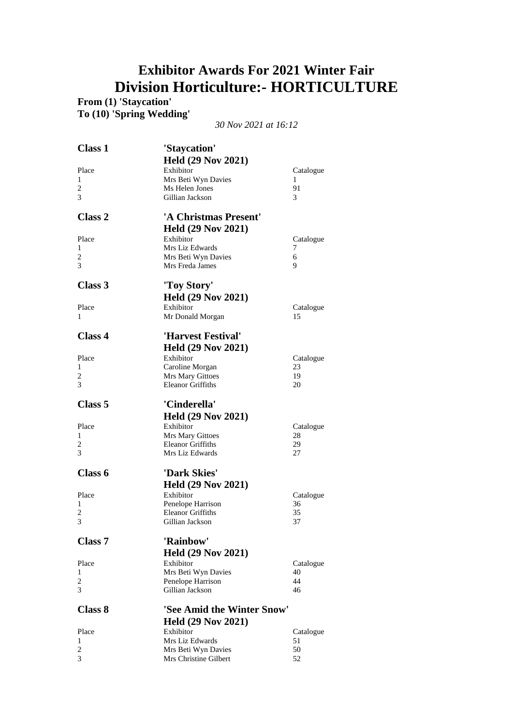## **Exhibitor Awards For 2021 Winter Fair Division Horticulture:- HORTICULTURE**

**From (1) 'Staycation'**

**To (10) 'Spring Wedding'**

*30 Nov 2021 at 16:12*

| Held (29 Nov 2021)<br>Exhibitor<br>Place<br>Catalogue<br>Mrs Beti Wyn Davies<br>1<br>1<br>2<br>Ms Helen Jones<br>91<br>3<br>Gillian Jackson<br>3<br>Class 2<br>'A Christmas Present'<br><b>Held (29 Nov 2021)</b><br>Exhibitor<br>Place<br>Catalogue<br>Mrs Liz Edwards<br>1<br>7<br>2<br>Mrs Beti Wyn Davies<br>6<br>3<br>Mrs Freda James<br>9<br>Class 3<br>'Toy Story'<br><b>Held (29 Nov 2021)</b><br>Exhibitor<br>Place<br>Catalogue<br>1<br>Mr Donald Morgan<br>15<br>Class 4<br>'Harvest Festival'<br><b>Held (29 Nov 2021)</b><br>Exhibitor<br>Place<br>Catalogue<br>1<br>Caroline Morgan<br>23<br>2<br>Mrs Mary Gittoes<br>19<br>3<br><b>Eleanor Griffiths</b><br>20<br>Class 5<br>'Cinderella'<br><b>Held (29 Nov 2021)</b><br>Exhibitor<br>Place<br>Catalogue<br>1<br>Mrs Mary Gittoes<br>28<br><b>Eleanor Griffiths</b><br>2<br>29<br>3<br>Mrs Liz Edwards<br>27<br>Class 6<br>'Dark Skies'<br><b>Held (29 Nov 2021)</b><br>Exhibitor<br>Place<br>Catalogue<br>Penelope Harrison<br>1<br>36<br>$\overline{c}$<br><b>Eleanor Griffiths</b><br>35<br>3<br>Gillian Jackson<br>37<br>Class 7<br>'Rainbow'<br><b>Held (29 Nov 2021)</b><br>Place<br>Exhibitor<br>Catalogue<br>Mrs Beti Wyn Davies<br>40<br>1<br>$\overline{c}$<br>Penelope Harrison<br>44<br>3<br>Gillian Jackson<br>46<br>'See Amid the Winter Snow'<br>Class 8<br><b>Held (29 Nov 2021)</b><br>Exhibitor<br>Place<br>Catalogue<br>Mrs Liz Edwards<br>1<br>51<br>$\overline{c}$<br>50<br>Mrs Beti Wyn Davies<br>3<br>Mrs Christine Gilbert<br>52 | <b>Class 1</b> | 'Staycation' |  |
|--------------------------------------------------------------------------------------------------------------------------------------------------------------------------------------------------------------------------------------------------------------------------------------------------------------------------------------------------------------------------------------------------------------------------------------------------------------------------------------------------------------------------------------------------------------------------------------------------------------------------------------------------------------------------------------------------------------------------------------------------------------------------------------------------------------------------------------------------------------------------------------------------------------------------------------------------------------------------------------------------------------------------------------------------------------------------------------------------------------------------------------------------------------------------------------------------------------------------------------------------------------------------------------------------------------------------------------------------------------------------------------------------------------------------------------------------------------------------------------------------------------------------|----------------|--------------|--|
|                                                                                                                                                                                                                                                                                                                                                                                                                                                                                                                                                                                                                                                                                                                                                                                                                                                                                                                                                                                                                                                                                                                                                                                                                                                                                                                                                                                                                                                                                                                          |                |              |  |
|                                                                                                                                                                                                                                                                                                                                                                                                                                                                                                                                                                                                                                                                                                                                                                                                                                                                                                                                                                                                                                                                                                                                                                                                                                                                                                                                                                                                                                                                                                                          |                |              |  |
|                                                                                                                                                                                                                                                                                                                                                                                                                                                                                                                                                                                                                                                                                                                                                                                                                                                                                                                                                                                                                                                                                                                                                                                                                                                                                                                                                                                                                                                                                                                          |                |              |  |
|                                                                                                                                                                                                                                                                                                                                                                                                                                                                                                                                                                                                                                                                                                                                                                                                                                                                                                                                                                                                                                                                                                                                                                                                                                                                                                                                                                                                                                                                                                                          |                |              |  |
|                                                                                                                                                                                                                                                                                                                                                                                                                                                                                                                                                                                                                                                                                                                                                                                                                                                                                                                                                                                                                                                                                                                                                                                                                                                                                                                                                                                                                                                                                                                          |                |              |  |
|                                                                                                                                                                                                                                                                                                                                                                                                                                                                                                                                                                                                                                                                                                                                                                                                                                                                                                                                                                                                                                                                                                                                                                                                                                                                                                                                                                                                                                                                                                                          |                |              |  |
|                                                                                                                                                                                                                                                                                                                                                                                                                                                                                                                                                                                                                                                                                                                                                                                                                                                                                                                                                                                                                                                                                                                                                                                                                                                                                                                                                                                                                                                                                                                          |                |              |  |
|                                                                                                                                                                                                                                                                                                                                                                                                                                                                                                                                                                                                                                                                                                                                                                                                                                                                                                                                                                                                                                                                                                                                                                                                                                                                                                                                                                                                                                                                                                                          |                |              |  |
|                                                                                                                                                                                                                                                                                                                                                                                                                                                                                                                                                                                                                                                                                                                                                                                                                                                                                                                                                                                                                                                                                                                                                                                                                                                                                                                                                                                                                                                                                                                          |                |              |  |
|                                                                                                                                                                                                                                                                                                                                                                                                                                                                                                                                                                                                                                                                                                                                                                                                                                                                                                                                                                                                                                                                                                                                                                                                                                                                                                                                                                                                                                                                                                                          |                |              |  |
|                                                                                                                                                                                                                                                                                                                                                                                                                                                                                                                                                                                                                                                                                                                                                                                                                                                                                                                                                                                                                                                                                                                                                                                                                                                                                                                                                                                                                                                                                                                          |                |              |  |
|                                                                                                                                                                                                                                                                                                                                                                                                                                                                                                                                                                                                                                                                                                                                                                                                                                                                                                                                                                                                                                                                                                                                                                                                                                                                                                                                                                                                                                                                                                                          |                |              |  |
|                                                                                                                                                                                                                                                                                                                                                                                                                                                                                                                                                                                                                                                                                                                                                                                                                                                                                                                                                                                                                                                                                                                                                                                                                                                                                                                                                                                                                                                                                                                          |                |              |  |
|                                                                                                                                                                                                                                                                                                                                                                                                                                                                                                                                                                                                                                                                                                                                                                                                                                                                                                                                                                                                                                                                                                                                                                                                                                                                                                                                                                                                                                                                                                                          |                |              |  |
|                                                                                                                                                                                                                                                                                                                                                                                                                                                                                                                                                                                                                                                                                                                                                                                                                                                                                                                                                                                                                                                                                                                                                                                                                                                                                                                                                                                                                                                                                                                          |                |              |  |
|                                                                                                                                                                                                                                                                                                                                                                                                                                                                                                                                                                                                                                                                                                                                                                                                                                                                                                                                                                                                                                                                                                                                                                                                                                                                                                                                                                                                                                                                                                                          |                |              |  |
|                                                                                                                                                                                                                                                                                                                                                                                                                                                                                                                                                                                                                                                                                                                                                                                                                                                                                                                                                                                                                                                                                                                                                                                                                                                                                                                                                                                                                                                                                                                          |                |              |  |
|                                                                                                                                                                                                                                                                                                                                                                                                                                                                                                                                                                                                                                                                                                                                                                                                                                                                                                                                                                                                                                                                                                                                                                                                                                                                                                                                                                                                                                                                                                                          |                |              |  |
|                                                                                                                                                                                                                                                                                                                                                                                                                                                                                                                                                                                                                                                                                                                                                                                                                                                                                                                                                                                                                                                                                                                                                                                                                                                                                                                                                                                                                                                                                                                          |                |              |  |
|                                                                                                                                                                                                                                                                                                                                                                                                                                                                                                                                                                                                                                                                                                                                                                                                                                                                                                                                                                                                                                                                                                                                                                                                                                                                                                                                                                                                                                                                                                                          |                |              |  |
|                                                                                                                                                                                                                                                                                                                                                                                                                                                                                                                                                                                                                                                                                                                                                                                                                                                                                                                                                                                                                                                                                                                                                                                                                                                                                                                                                                                                                                                                                                                          |                |              |  |
|                                                                                                                                                                                                                                                                                                                                                                                                                                                                                                                                                                                                                                                                                                                                                                                                                                                                                                                                                                                                                                                                                                                                                                                                                                                                                                                                                                                                                                                                                                                          |                |              |  |
|                                                                                                                                                                                                                                                                                                                                                                                                                                                                                                                                                                                                                                                                                                                                                                                                                                                                                                                                                                                                                                                                                                                                                                                                                                                                                                                                                                                                                                                                                                                          |                |              |  |
|                                                                                                                                                                                                                                                                                                                                                                                                                                                                                                                                                                                                                                                                                                                                                                                                                                                                                                                                                                                                                                                                                                                                                                                                                                                                                                                                                                                                                                                                                                                          |                |              |  |
|                                                                                                                                                                                                                                                                                                                                                                                                                                                                                                                                                                                                                                                                                                                                                                                                                                                                                                                                                                                                                                                                                                                                                                                                                                                                                                                                                                                                                                                                                                                          |                |              |  |
|                                                                                                                                                                                                                                                                                                                                                                                                                                                                                                                                                                                                                                                                                                                                                                                                                                                                                                                                                                                                                                                                                                                                                                                                                                                                                                                                                                                                                                                                                                                          |                |              |  |
|                                                                                                                                                                                                                                                                                                                                                                                                                                                                                                                                                                                                                                                                                                                                                                                                                                                                                                                                                                                                                                                                                                                                                                                                                                                                                                                                                                                                                                                                                                                          |                |              |  |
|                                                                                                                                                                                                                                                                                                                                                                                                                                                                                                                                                                                                                                                                                                                                                                                                                                                                                                                                                                                                                                                                                                                                                                                                                                                                                                                                                                                                                                                                                                                          |                |              |  |
|                                                                                                                                                                                                                                                                                                                                                                                                                                                                                                                                                                                                                                                                                                                                                                                                                                                                                                                                                                                                                                                                                                                                                                                                                                                                                                                                                                                                                                                                                                                          |                |              |  |
|                                                                                                                                                                                                                                                                                                                                                                                                                                                                                                                                                                                                                                                                                                                                                                                                                                                                                                                                                                                                                                                                                                                                                                                                                                                                                                                                                                                                                                                                                                                          |                |              |  |
|                                                                                                                                                                                                                                                                                                                                                                                                                                                                                                                                                                                                                                                                                                                                                                                                                                                                                                                                                                                                                                                                                                                                                                                                                                                                                                                                                                                                                                                                                                                          |                |              |  |
|                                                                                                                                                                                                                                                                                                                                                                                                                                                                                                                                                                                                                                                                                                                                                                                                                                                                                                                                                                                                                                                                                                                                                                                                                                                                                                                                                                                                                                                                                                                          |                |              |  |
|                                                                                                                                                                                                                                                                                                                                                                                                                                                                                                                                                                                                                                                                                                                                                                                                                                                                                                                                                                                                                                                                                                                                                                                                                                                                                                                                                                                                                                                                                                                          |                |              |  |
|                                                                                                                                                                                                                                                                                                                                                                                                                                                                                                                                                                                                                                                                                                                                                                                                                                                                                                                                                                                                                                                                                                                                                                                                                                                                                                                                                                                                                                                                                                                          |                |              |  |
|                                                                                                                                                                                                                                                                                                                                                                                                                                                                                                                                                                                                                                                                                                                                                                                                                                                                                                                                                                                                                                                                                                                                                                                                                                                                                                                                                                                                                                                                                                                          |                |              |  |
|                                                                                                                                                                                                                                                                                                                                                                                                                                                                                                                                                                                                                                                                                                                                                                                                                                                                                                                                                                                                                                                                                                                                                                                                                                                                                                                                                                                                                                                                                                                          |                |              |  |
|                                                                                                                                                                                                                                                                                                                                                                                                                                                                                                                                                                                                                                                                                                                                                                                                                                                                                                                                                                                                                                                                                                                                                                                                                                                                                                                                                                                                                                                                                                                          |                |              |  |
|                                                                                                                                                                                                                                                                                                                                                                                                                                                                                                                                                                                                                                                                                                                                                                                                                                                                                                                                                                                                                                                                                                                                                                                                                                                                                                                                                                                                                                                                                                                          |                |              |  |
|                                                                                                                                                                                                                                                                                                                                                                                                                                                                                                                                                                                                                                                                                                                                                                                                                                                                                                                                                                                                                                                                                                                                                                                                                                                                                                                                                                                                                                                                                                                          |                |              |  |
|                                                                                                                                                                                                                                                                                                                                                                                                                                                                                                                                                                                                                                                                                                                                                                                                                                                                                                                                                                                                                                                                                                                                                                                                                                                                                                                                                                                                                                                                                                                          |                |              |  |
|                                                                                                                                                                                                                                                                                                                                                                                                                                                                                                                                                                                                                                                                                                                                                                                                                                                                                                                                                                                                                                                                                                                                                                                                                                                                                                                                                                                                                                                                                                                          |                |              |  |
|                                                                                                                                                                                                                                                                                                                                                                                                                                                                                                                                                                                                                                                                                                                                                                                                                                                                                                                                                                                                                                                                                                                                                                                                                                                                                                                                                                                                                                                                                                                          |                |              |  |
|                                                                                                                                                                                                                                                                                                                                                                                                                                                                                                                                                                                                                                                                                                                                                                                                                                                                                                                                                                                                                                                                                                                                                                                                                                                                                                                                                                                                                                                                                                                          |                |              |  |
|                                                                                                                                                                                                                                                                                                                                                                                                                                                                                                                                                                                                                                                                                                                                                                                                                                                                                                                                                                                                                                                                                                                                                                                                                                                                                                                                                                                                                                                                                                                          |                |              |  |
|                                                                                                                                                                                                                                                                                                                                                                                                                                                                                                                                                                                                                                                                                                                                                                                                                                                                                                                                                                                                                                                                                                                                                                                                                                                                                                                                                                                                                                                                                                                          |                |              |  |
|                                                                                                                                                                                                                                                                                                                                                                                                                                                                                                                                                                                                                                                                                                                                                                                                                                                                                                                                                                                                                                                                                                                                                                                                                                                                                                                                                                                                                                                                                                                          |                |              |  |
|                                                                                                                                                                                                                                                                                                                                                                                                                                                                                                                                                                                                                                                                                                                                                                                                                                                                                                                                                                                                                                                                                                                                                                                                                                                                                                                                                                                                                                                                                                                          |                |              |  |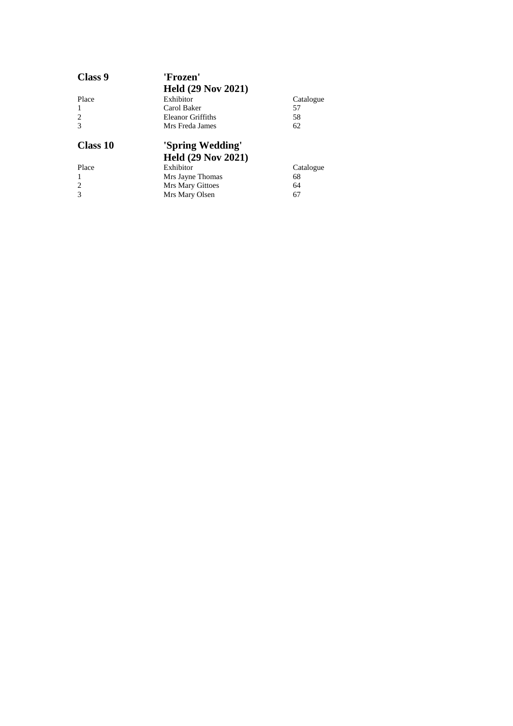| Class 9                     | 'Frozen'                  |           |
|-----------------------------|---------------------------|-----------|
|                             | <b>Held (29 Nov 2021)</b> |           |
| Place                       | Exhibitor                 | Catalogue |
| 1                           | Carol Baker               | 57        |
| 2                           | Eleanor Griffiths         | 58        |
|                             | Mrs Freda James           | 62        |
|                             |                           |           |
| Class 10                    | 'Spring Wedding'          |           |
|                             | <b>Held (29 Nov 2021)</b> |           |
| Place                       | Exhibitor                 | Catalogue |
|                             | Mrs Jayne Thomas          | 68        |
| $\mathcal{D}_{\mathcal{L}}$ | <b>Mrs Mary Gittoes</b>   | 64        |